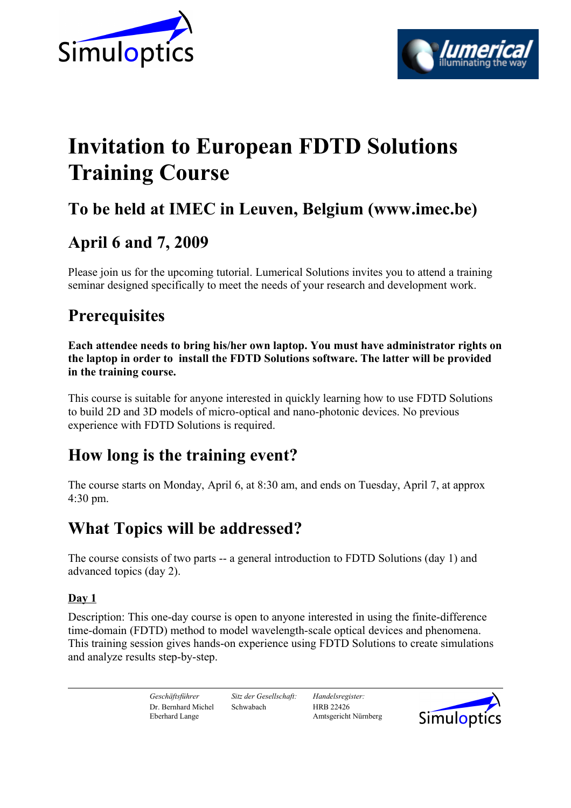



# **Invitation to European FDTD Solutions Training Course**

## **To be held at IMEC in Leuven, Belgium (www.imec.be)**

### **April 6 and 7, 2009**

Please join us for the upcoming tutorial. Lumerical Solutions invites you to attend a training seminar designed specifically to meet the needs of your research and development work.

### **Prerequisites**

**Each attendee needs to bring his/her own laptop. You must have administrator rights on the laptop in order to install the FDTD Solutions software. The latter will be provided in the training course.**

This course is suitable for anyone interested in quickly learning how to use FDTD Solutions to build 2D and 3D models of micro-optical and nano-photonic devices. No previous experience with FDTD Solutions is required.

### **How long is the training event?**

The course starts on Monday, April 6, at 8:30 am, and ends on Tuesday, April 7, at approx 4:30 pm.

### **What Topics will be addressed?**

The course consists of two parts -- a general introduction to FDTD Solutions (day 1) and advanced topics (day 2).

### **Day 1**

Description: This one-day course is open to anyone interested in using the finite-difference time-domain (FDTD) method to model wavelength-scale optical devices and phenomena. This training session gives hands-on experience using FDTD Solutions to create simulations and analyze results step-by-step.

*Geschäftsführer Sitz der Gesellschaft: Handelsregister:* Dr. Bernhard Michel Schwabach HRB 22426 Eberhard Lange Amtsgericht Nürnberg

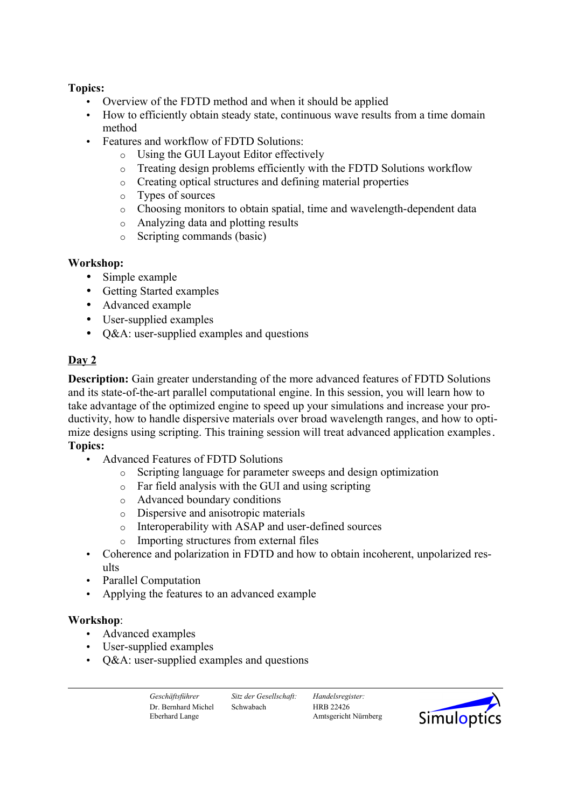#### **Topics:**

- Overview of the FDTD method and when it should be applied
- How to efficiently obtain steady state, continuous wave results from a time domain method
- Features and workflow of FDTD Solutions:
	- o Using the GUI Layout Editor effectively
	- o Treating design problems efficiently with the FDTD Solutions workflow
	- o Creating optical structures and defining material properties
	- o Types of sources
	- o Choosing monitors to obtain spatial, time and wavelength-dependent data
	- o Analyzing data and plotting results
	- o Scripting commands (basic)

#### **Workshop:**

- Simple example
- Getting Started examples
- Advanced example
- User-supplied examples
- O&A: user-supplied examples and questions

#### **Day 2**

**Description:** Gain greater understanding of the more advanced features of FDTD Solutions and its state-of-the-art parallel computational engine. In this session, you will learn how to take advantage of the optimized engine to speed up your simulations and increase your productivity, how to handle dispersive materials over broad wavelength ranges, and how to optimize designs using scripting. This training session will treat advanced application examples. **Topics:**

- Advanced Features of FDTD Solutions
	- o Scripting language for parameter sweeps and design optimization
	- o Far field analysis with the GUI and using scripting
	- o Advanced boundary conditions
	- o Dispersive and anisotropic materials
	- o Interoperability with ASAP and user-defined sources
	- o Importing structures from external files
- Coherence and polarization in FDTD and how to obtain incoherent, unpolarized results
- Parallel Computation
- Applying the features to an advanced example

#### **Workshop**:

- Advanced examples
- User-supplied examples
- Q&A: user-supplied examples and questions

*Geschäftsführer Sitz der Gesellschaft: Handelsregister:* Dr. Bernhard Michel Schwabach HRB 22426

Eberhard Lange Amtsgericht Nürnberg